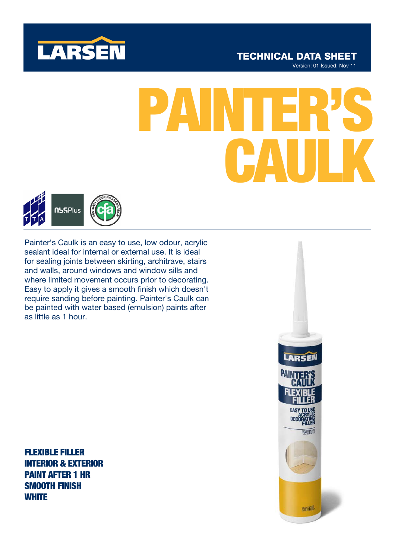

# **TECHNICAL DATA SHEET**

Version: 01 Issued: Nov 11

# PAINTER'S CAULK



Painter's Caulk is an easy to use, low odour, acrylic sealant ideal for internal or external use. It is ideal for sealing joints between skirting, architrave, stairs and walls, around windows and window sills and where limited movement occurs prior to decorating. Easy to apply it gives a smooth finish which doesn't require sanding before painting. Painter's Caulk can be painted with water based (emulsion) paints after as little as 1 hour.

FLEXIBLE FILLER INTERIOR & EXTERIOR PAINT AFTER 1 HR SMOOTH FINISH **WHITE** 

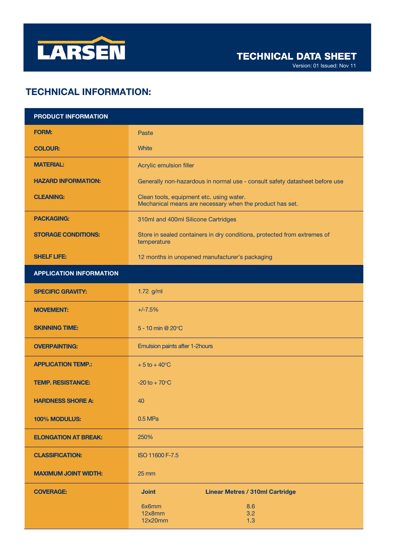

Version: 01 Issued: Nov 11

# TECHNICAL INFORMATION:

| <b>PRODUCT INFORMATION</b>     |                                                                                                      |
|--------------------------------|------------------------------------------------------------------------------------------------------|
| <b>FORM:</b>                   | Paste                                                                                                |
| <b>COLOUR:</b>                 | <b>White</b>                                                                                         |
| <b>MATERIAL:</b>               | Acrylic emulsion filler                                                                              |
| <b>HAZARD INFORMATION:</b>     | Generally non-hazardous in normal use - consult safety datasheet before use                          |
| <b>CLEANING:</b>               | Clean tools, equipment etc. using water.<br>Mechanical means are necessary when the product has set. |
| <b>PACKAGING:</b>              | 310ml and 400ml Silicone Cartridges                                                                  |
| <b>STORAGE CONDITIONS:</b>     | Store in sealed containers in dry conditions, protected from extremes of<br>temperature              |
| <b>SHELF LIFE:</b>             | 12 months in unopened manufacturer's packaging                                                       |
| <b>APPLICATION INFORMATION</b> |                                                                                                      |
| <b>SPECIFIC GRAVITY:</b>       | 1.72 g/ml                                                                                            |
| <b>MOVEMENT:</b>               | $+/-7.5%$                                                                                            |
| <b>SKINNING TIME:</b>          | 5 - 10 min @ $20^{\circ}$ C                                                                          |
| <b>OVERPAINTING:</b>           | Emulsion paints after 1-2hours                                                                       |
| <b>APPLICATION TEMP.:</b>      | $+5$ to $+40^{\circ}$ C                                                                              |
| <b>TEMP. RESISTANCE:</b>       | $-20$ to $+ 70$ <sup>o</sup> C                                                                       |
| <b>HARDNESS SHORE A:</b>       | 40                                                                                                   |
| 100% MODULUS:                  | 0.5 MPa                                                                                              |
| <b>ELONGATION AT BREAK:</b>    | 250%                                                                                                 |
| <b>CLASSIFICATION:</b>         | ISO 11600 F-7.5                                                                                      |
| <b>MAXIMUM JOINT WIDTH:</b>    | $25 \, \text{mm}$                                                                                    |
| <b>COVERAGE:</b>               | <b>Linear Metres / 310ml Cartridge</b><br><b>Joint</b>                                               |
|                                | 8.6<br>6x6mm<br>12x8mm<br>3.2<br>12x20mm<br>1.3                                                      |